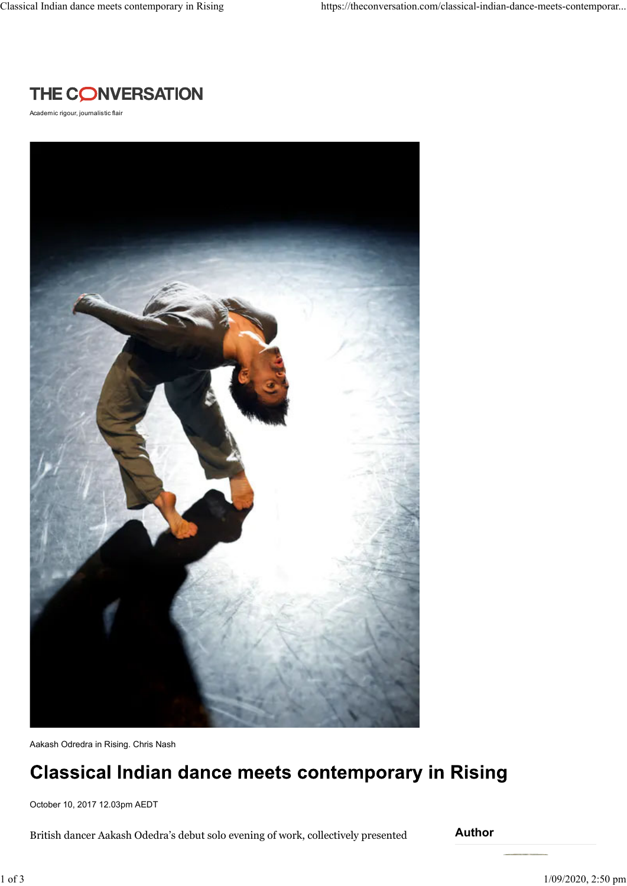

Academic rigour, journalistic flair



Aakash Odredra in Rising. Chris Nash

## **Classical Indian dance meets contemporary in Rising**

October 10, 2017 12.03pm AEDT

British dancer Aakash Odedra's debut solo evening of work, collectively presented

**Author**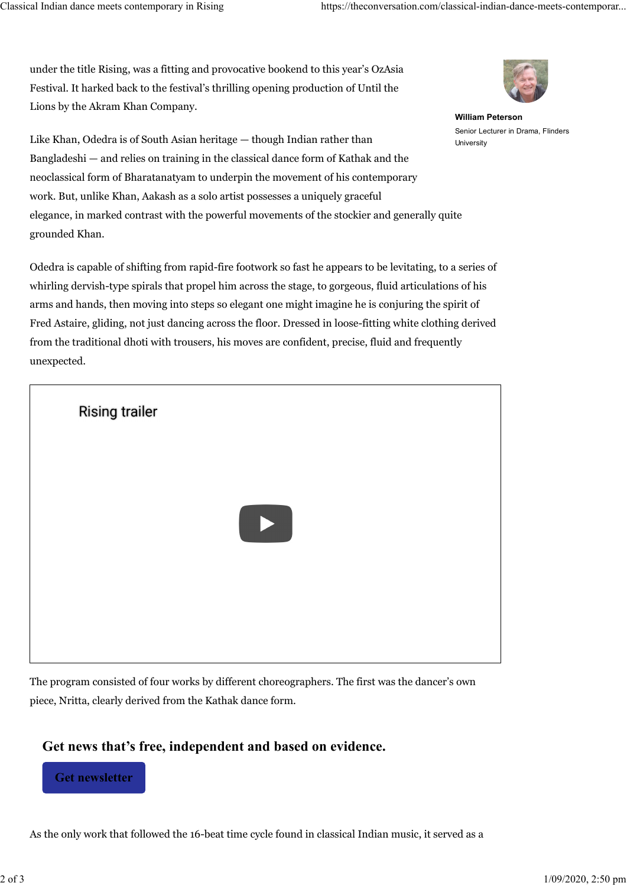under the title Rising, was a fitting and provocative bookend to this year's OzAsia Festival. It harked back to the festival's thrilling opening production of Until the Lions by the Akram Khan Company.



**William Peterson** Senior Lecturer in Drama, Flinders **University** 

Like Khan, Odedra is of South Asian heritage — though Indian rather than Bangladeshi — and relies on training in the classical dance form of Kathak and the neoclassical form of Bharatanatyam to underpin the movement of his contemporary work. But, unlike Khan, Aakash as a solo artist possesses a uniquely graceful elegance, in marked contrast with the powerful movements of the stockier and generally quite grounded Khan.

Odedra is capable of shifting from rapid-fire footwork so fast he appears to be levitating, to a series of whirling dervish-type spirals that propel him across the stage, to gorgeous, fluid articulations of his arms and hands, then moving into steps so elegant one might imagine he is conjuring the spirit of Fred Astaire, gliding, not just dancing across the floor. Dressed in loose-fitting white clothing derived from the traditional dhoti with trousers, his moves are confident, precise, fluid and frequently unexpected.



The program consisted of four works by different choreographers. The first was the dancer's own piece, Nritta, clearly derived from the Kathak dance form.

## **Get news that's free, independent and based on evidence.**

**Get newsletter**

As the only work that followed the 16-beat time cycle found in classical Indian music, it served as a